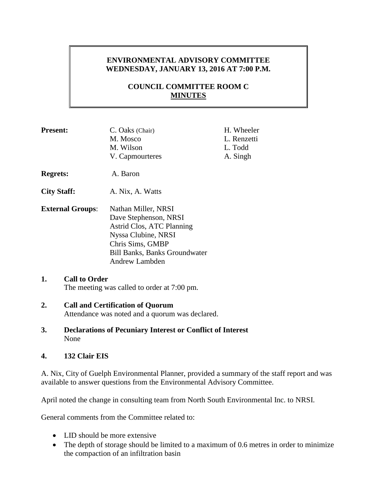# **ENVIRONMENTAL ADVISORY COMMITTEE WEDNESDAY, JANUARY 13, 2016 AT 7:00 P.M.**

# **COUNCIL COMMITTEE ROOM C MINUTES**

| <b>Present:</b>            | C. Oaks (Chair)<br>M. Mosco<br>M. Wilson<br>V. Capmourteres                                                                                                                           | H. Wheeler<br>L. Renzetti<br>L. Todd<br>A. Singh |
|----------------------------|---------------------------------------------------------------------------------------------------------------------------------------------------------------------------------------|--------------------------------------------------|
| <b>Regrets:</b>            | A. Baron                                                                                                                                                                              |                                                  |
| <b>City Staff:</b>         | A. Nix, A. Watts                                                                                                                                                                      |                                                  |
| <b>External Groups:</b>    | Nathan Miller, NRSI<br>Dave Stephenson, NRSI<br>Astrid Clos, ATC Planning<br>Nyssa Clubine, NRSI<br>Chris Sims, GMBP<br><b>Bill Banks, Banks Groundwater</b><br><b>Andrew Lambden</b> |                                                  |
| 1.<br><b>Call to Order</b> | The meeting was called to order at 7:00 pm.                                                                                                                                           |                                                  |

#### **2. Call and Certification of Quorum** Attendance was noted and a quorum was declared.

**3. Declarations of Pecuniary Interest or Conflict of Interest** None

## **4. 132 Clair EIS**

A. Nix, City of Guelph Environmental Planner, provided a summary of the staff report and was available to answer questions from the Environmental Advisory Committee.

April noted the change in consulting team from North South Environmental Inc. to NRSI.

General comments from the Committee related to:

- LID should be more extensive
- The depth of storage should be limited to a maximum of 0.6 metres in order to minimize the compaction of an infiltration basin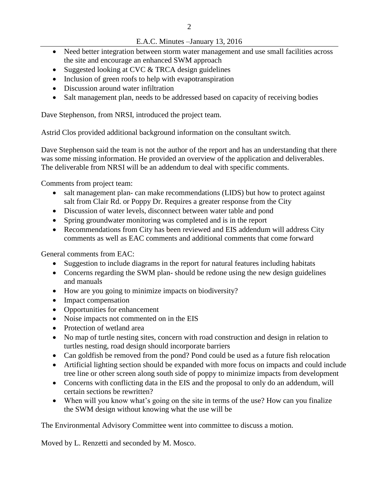- Need better integration between storm water management and use small facilities across the site and encourage an enhanced SWM approach
- Suggested looking at CVC & TRCA design guidelines
- Inclusion of green roofs to help with evapotranspiration
- Discussion around water infiltration
- Salt management plan, needs to be addressed based on capacity of receiving bodies

Dave Stephenson, from NRSI, introduced the project team.

Astrid Clos provided additional background information on the consultant switch.

Dave Stephenson said the team is not the author of the report and has an understanding that there was some missing information. He provided an overview of the application and deliverables. The deliverable from NRSI will be an addendum to deal with specific comments.

Comments from project team:

- salt management plan- can make recommendations (LIDS) but how to protect against salt from Clair Rd. or Poppy Dr. Requires a greater response from the City
- Discussion of water levels, disconnect between water table and pond
- Spring groundwater monitoring was completed and is in the report
- Recommendations from City has been reviewed and EIS addendum will address City comments as well as EAC comments and additional comments that come forward

General comments from EAC:

- Suggestion to include diagrams in the report for natural features including habitats
- Concerns regarding the SWM plan-should be redone using the new design guidelines and manuals
- How are you going to minimize impacts on biodiversity?
- Impact compensation
- Opportunities for enhancement
- Noise impacts not commented on in the EIS
- Protection of wetland area
- No map of turtle nesting sites, concern with road construction and design in relation to turtles nesting, road design should incorporate barriers
- Can goldfish be removed from the pond? Pond could be used as a future fish relocation
- Artificial lighting section should be expanded with more focus on impacts and could include tree line or other screen along south side of poppy to minimize impacts from development
- Concerns with conflicting data in the EIS and the proposal to only do an addendum, will certain sections be rewritten?
- When will you know what's going on the site in terms of the use? How can you finalize the SWM design without knowing what the use will be

The Environmental Advisory Committee went into committee to discuss a motion.

Moved by L. Renzetti and seconded by M. Mosco.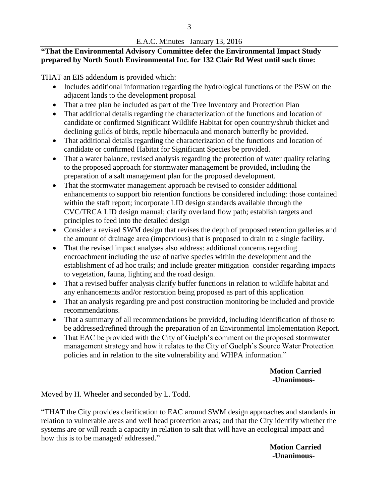# **"That the Environmental Advisory Committee defer the Environmental Impact Study prepared by North South Environmental Inc. for 132 Clair Rd West until such time:**

THAT an EIS addendum is provided which:

- Includes additional information regarding the hydrological functions of the PSW on the adjacent lands to the development proposal
- That a tree plan be included as part of the Tree Inventory and Protection Plan
- That additional details regarding the characterization of the functions and location of candidate or confirmed Significant Wildlife Habitat for open country/shrub thicket and declining guilds of birds, reptile hibernacula and monarch butterfly be provided.
- That additional details regarding the characterization of the functions and location of candidate or confirmed Habitat for Significant Species be provided.
- That a water balance, revised analysis regarding the protection of water quality relating to the proposed approach for stormwater management be provided, including the preparation of a salt management plan for the proposed development.
- That the stormwater management approach be revised to consider additional enhancements to support bio retention functions be considered including: those contained within the staff report; incorporate LID design standards available through the CVC/TRCA LID design manual; clarify overland flow path; establish targets and principles to feed into the detailed design
- Consider a revised SWM design that revises the depth of proposed retention galleries and the amount of drainage area (impervious) that is proposed to drain to a single facility.
- That the revised impact analyses also address: additional concerns regarding encroachment including the use of native species within the development and the establishment of ad hoc trails; and include greater mitigation consider regarding impacts to vegetation, fauna, lighting and the road design.
- That a revised buffer analysis clarify buffer functions in relation to wildlife habitat and any enhancements and/or restoration being proposed as part of this application
- That an analysis regarding pre and post construction monitoring be included and provide recommendations.
- That a summary of all recommendations be provided, including identification of those to be addressed/refined through the preparation of an Environmental Implementation Report.
- That EAC be provided with the City of Guelph's comment on the proposed stormwater management strategy and how it relates to the City of Guelph's Source Water Protection policies and in relation to the site vulnerability and WHPA information."

### **Motion Carried -Unanimous-**

Moved by H. Wheeler and seconded by L. Todd.

"THAT the City provides clarification to EAC around SWM design approaches and standards in relation to vulnerable areas and well head protection areas; and that the City identify whether the systems are or will reach a capacity in relation to salt that will have an ecological impact and how this is to be managed/ addressed."

> **Motion Carried -Unanimous-**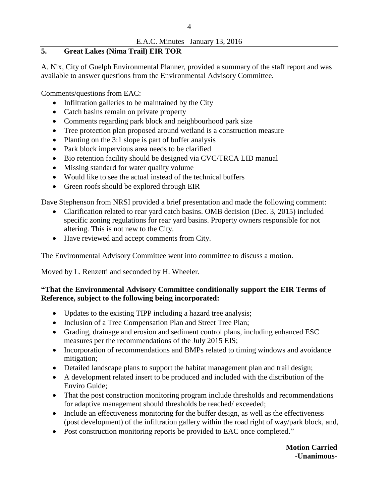# **5. Great Lakes (Nima Trail) EIR TOR**

A. Nix, City of Guelph Environmental Planner, provided a summary of the staff report and was available to answer questions from the Environmental Advisory Committee.

Comments/questions from EAC:

- Infiltration galleries to be maintained by the City
- Catch basins remain on private property
- Comments regarding park block and neighbourhood park size
- Tree protection plan proposed around wetland is a construction measure
- Planting on the 3:1 slope is part of buffer analysis
- Park block impervious area needs to be clarified
- Bio retention facility should be designed via CVC/TRCA LID manual
- Missing standard for water quality volume
- Would like to see the actual instead of the technical buffers
- Green roofs should be explored through EIR

Dave Stephenson from NRSI provided a brief presentation and made the following comment:

- Clarification related to rear yard catch basins. OMB decision (Dec. 3, 2015) included specific zoning regulations for rear yard basins. Property owners responsible for not altering. This is not new to the City.
- Have reviewed and accept comments from City.

The Environmental Advisory Committee went into committee to discuss a motion.

Moved by L. Renzetti and seconded by H. Wheeler.

## **"That the Environmental Advisory Committee conditionally support the EIR Terms of Reference, subject to the following being incorporated:**

- Updates to the existing TIPP including a hazard tree analysis;
- Inclusion of a Tree Compensation Plan and Street Tree Plan;
- Grading, drainage and erosion and sediment control plans, including enhanced ESC measures per the recommendations of the July 2015 EIS;
- Incorporation of recommendations and BMPs related to timing windows and avoidance mitigation;
- Detailed landscape plans to support the habitat management plan and trail design;
- A development related insert to be produced and included with the distribution of the Enviro Guide;
- That the post construction monitoring program include thresholds and recommendations for adaptive management should thresholds be reached/ exceeded;
- Include an effectiveness monitoring for the buffer design, as well as the effectiveness (post development) of the infiltration gallery within the road right of way/park block, and,
- Post construction monitoring reports be provided to EAC once completed."

**Motion Carried -Unanimous-**